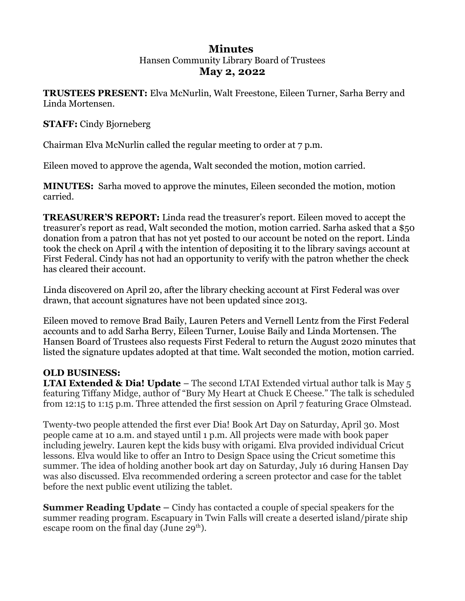# **Minutes**  Hansen Community Library Board of Trustees **May 2, 2022**

**TRUSTEES PRESENT:** Elva McNurlin, Walt Freestone, Eileen Turner, Sarha Berry and Linda Mortensen.

### **STAFF:** Cindy Bjorneberg

Chairman Elva McNurlin called the regular meeting to order at 7 p.m.

Eileen moved to approve the agenda, Walt seconded the motion, motion carried.

**MINUTES:** Sarha moved to approve the minutes, Eileen seconded the motion, motion carried.

**TREASURER'S REPORT:** Linda read the treasurer's report. Eileen moved to accept the treasurer's report as read, Walt seconded the motion, motion carried. Sarha asked that a \$50 donation from a patron that has not yet posted to our account be noted on the report. Linda took the check on April 4 with the intention of depositing it to the library savings account at First Federal. Cindy has not had an opportunity to verify with the patron whether the check has cleared their account.

Linda discovered on April 20, after the library checking account at First Federal was over drawn, that account signatures have not been updated since 2013.

Eileen moved to remove Brad Baily, Lauren Peters and Vernell Lentz from the First Federal accounts and to add Sarha Berry, Eileen Turner, Louise Baily and Linda Mortensen. The Hansen Board of Trustees also requests First Federal to return the August 2020 minutes that listed the signature updates adopted at that time. Walt seconded the motion, motion carried.

# **OLD BUSINESS:**

**LTAI Extended & Dia! Update** – The second LTAI Extended virtual author talk is May 5 featuring Tiffany Midge, author of "Bury My Heart at Chuck E Cheese." The talk is scheduled from 12:15 to 1:15 p.m. Three attended the first session on April 7 featuring Grace Olmstead.

Twenty-two people attended the first ever Dia! Book Art Day on Saturday, April 30. Most people came at 10 a.m. and stayed until 1 p.m. All projects were made with book paper including jewelry. Lauren kept the kids busy with origami. Elva provided individual Cricut lessons. Elva would like to offer an Intro to Design Space using the Cricut sometime this summer. The idea of holding another book art day on Saturday, July 16 during Hansen Day was also discussed. Elva recommended ordering a screen protector and case for the tablet before the next public event utilizing the tablet.

**Summer Reading Update –** Cindy has contacted a couple of special speakers for the summer reading program. Escapuary in Twin Falls will create a deserted island/pirate ship escape room on the final day (June  $29<sup>th</sup>$ ).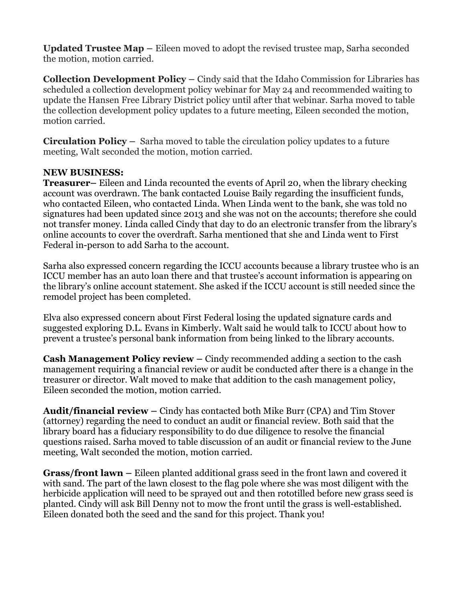**Updated Trustee Map –** Eileen moved to adopt the revised trustee map, Sarha seconded the motion, motion carried.

**Collection Development Policy –** Cindy said that the Idaho Commission for Libraries has scheduled a collection development policy webinar for May 24 and recommended waiting to update the Hansen Free Library District policy until after that webinar. Sarha moved to table the collection development policy updates to a future meeting, Eileen seconded the motion, motion carried.

**Circulation Policy –** Sarha moved to table the circulation policy updates to a future meeting, Walt seconded the motion, motion carried.

## **NEW BUSINESS:**

**Treasurer–** Eileen and Linda recounted the events of April 20, when the library checking account was overdrawn. The bank contacted Louise Baily regarding the insufficient funds, who contacted Eileen, who contacted Linda. When Linda went to the bank, she was told no signatures had been updated since 2013 and she was not on the accounts; therefore she could not transfer money. Linda called Cindy that day to do an electronic transfer from the library's online accounts to cover the overdraft. Sarha mentioned that she and Linda went to First Federal in-person to add Sarha to the account.

Sarha also expressed concern regarding the ICCU accounts because a library trustee who is an ICCU member has an auto loan there and that trustee's account information is appearing on the library's online account statement. She asked if the ICCU account is still needed since the remodel project has been completed.

Elva also expressed concern about First Federal losing the updated signature cards and suggested exploring D.L. Evans in Kimberly. Walt said he would talk to ICCU about how to prevent a trustee's personal bank information from being linked to the library accounts.

**Cash Management Policy review –** Cindy recommended adding a section to the cash management requiring a financial review or audit be conducted after there is a change in the treasurer or director. Walt moved to make that addition to the cash management policy, Eileen seconded the motion, motion carried.

**Audit/financial review –** Cindy has contacted both Mike Burr (CPA) and Tim Stover (attorney) regarding the need to conduct an audit or financial review. Both said that the library board has a fiduciary responsibility to do due diligence to resolve the financial questions raised. Sarha moved to table discussion of an audit or financial review to the June meeting, Walt seconded the motion, motion carried.

**Grass/front lawn –** Eileen planted additional grass seed in the front lawn and covered it with sand. The part of the lawn closest to the flag pole where she was most diligent with the herbicide application will need to be sprayed out and then rototilled before new grass seed is planted. Cindy will ask Bill Denny not to mow the front until the grass is well-established. Eileen donated both the seed and the sand for this project. Thank you!